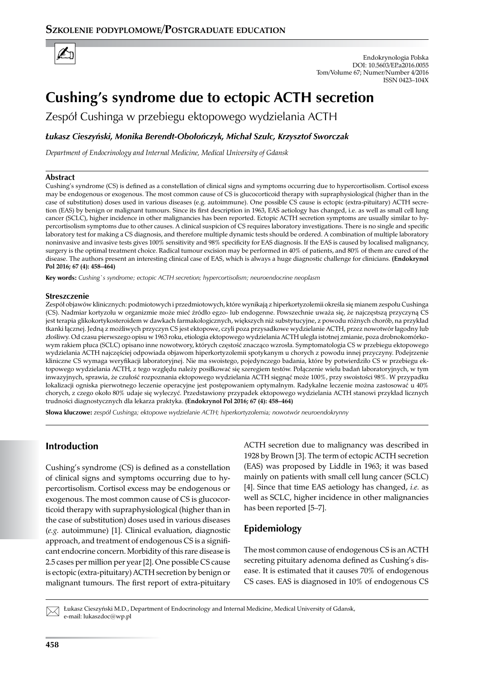

Endokrynologia Polska DOI: 10.5603/EP.a2016.0055 Tom/Volume 67; Numer/Number 4/2016 ISSN 0423–104X

# **Cushing's syndrome due to ectopic ACTH secretion**

Zespół Cushinga w przebiegu ektopowego wydzielania ACTH

#### *Łukasz Cieszyński, Monika Berendt-Obołończyk, Michał Szulc, Krzysztof Sworczak*

*Department of Endocrinology and Internal Medicine, Medical University of Gdansk*

#### **Abstract**

Cushing's syndrome (CS) is defined as a constellation of clinical signs and symptoms occurring due to hypercortisolism. Cortisol excess may be endogenous or exogenous. The most common cause of CS is glucocorticoid therapy with supraphysiological (higher than in the case of substitution) doses used in various diseases (e.g. autoimmune). One possible CS cause is ectopic (extra-pituitary) ACTH secretion (EAS) by benign or malignant tumours. Since its first description in 1963, EAS aetiology has changed, i.e. as well as small cell lung cancer (SCLC), higher incidence in other malignancies has been reported. Ectopic ACTH secretion symptoms are usually similar to hypercortisolism symptoms due to other causes. A clinical suspicion of CS requires laboratory investigations. There is no single and specific laboratory test for making a CS diagnosis, and therefore multiple dynamic tests should be ordered. A combination of multiple laboratory noninvasive and invasive tests gives 100% sensitivity and 98% specificity for EAS diagnosis. If the EAS is caused by localised malignancy, surgery is the optimal treatment choice. Radical tumour excision may be performed in 40% of patients, and 80% of them are cured of the disease. The authors present an interesting clinical case of EAS, which is always a huge diagnostic challenge for clinicians. **(Endokrynol Pol 2016; 67 (4): 458–464)**

**Key words:** *Cushing`s syndrome; ectopic ACTH secretion; hypercortisolism; neuroendocrine neoplasm*

#### **Streszczenie**

Zespół objawów klinicznych: podmiotowych i przedmiotowych, które wynikają z hiperkortyzolemii określa się mianem zespołu Cushinga (CS). Nadmiar kortyzolu w organizmie może mieć źródło egzo- lub endogenne. Powszechnie uważa się, że najczęstszą przyczyną CS jest terapia glikokortykosteroidem w dawkach farmakologicznych, większych niż substytucyjne, z powodu różnych chorób, na przykład tkanki łącznej. Jedną z możliwych przyczyn CS jest ektopowe, czyli poza przysadkowe wydzielanie ACTH, przez nowotwór łagodny lub złośliwy. Od czasu pierwszego opisu w 1963 roku, etiologia ektopowego wydzielania ACTH uległa istotnej zmianie, poza drobnokomórkowym rakiem płuca (SCLC) opisano inne nowotwory, których częstość znacząco wzrosła. Symptomatologia CS w przebiegu ektopowego wydzielania ACTH najczęściej odpowiada objawom hiperkortyzolemii spotykanym u chorych z powodu innej przyczyny. Podejrzenie kliniczne CS wymaga weryfikacji laboratoryjnej. Nie ma swoistego, pojedynczego badania, które by potwierdziło CS w przebiegu ektopowego wydzielania ACTH, z tego względu należy posiłkować się szeregiem testów. Połączenie wielu badań laboratoryjnych, w tym inwazyjnych, sprawia, że czułość rozpoznania ektopowego wydzielania ACTH sięgnąć może 100%, przy swoistości 98%. W przypadku lokalizacji ogniska pierwotnego leczenie operacyjne jest postępowaniem optymalnym. Radykalne leczenie można zastosować u 40% chorych, z czego około 80% udaje się wyleczyć. Przedstawiony przypadek ektopowego wydzielania ACTH stanowi przykład licznych trudności diagnostycznych dla lekarza praktyka. **(Endokrynol Pol 2016; 67 (4): 458–464)**

**Słowa kluczowe:** *zespół Cushinga; ektopowe wydzielanie ACTH; hiperkortyzolemia; nowotwór neuroendokrynny*

Łukasz Cieszyński M.D., Department of Endocrinology and Internal Medicine, Medical University of Gdansk, e-mail: lukaszdoc@wp.pl

#### **Introduction**

Cushing's syndrome (CS) is defined as a constellation of clinical signs and symptoms occurring due to hypercortisolism. Cortisol excess may be endogenous or exogenous. The most common cause of CS is glucocorticoid therapy with supraphysiological (higher than in the case of substitution) doses used in various diseases (*e.g.* autoimmune) [1]. Clinical evaluation, diagnostic approach, and treatment of endogenous CS is a significant endocrine concern. Morbidity of this rare disease is 2.5 cases per million per year [2]. One possible CS cause is ectopic (extra-pituitary) ACTH secretion by benign or malignant tumours. The first report of extra-pituitary ACTH secretion due to malignancy was described in 1928 by Brown [3]. The term of ectopic ACTH secretion (EAS) was proposed by Liddle in 1963; it was based mainly on patients with small cell lung cancer (SCLC) [4]. Since that time EAS aetiology has changed, *i.e.* as well as SCLC, higher incidence in other malignancies has been reported [5–7].

#### **Epidemiology**

The most common cause of endogenous CS is an ACTH secreting pituitary adenoma defined as Cushing's disease. It is estimated that it causes 70% of endogenous CS cases. EAS is diagnosed in 10% of endogenous CS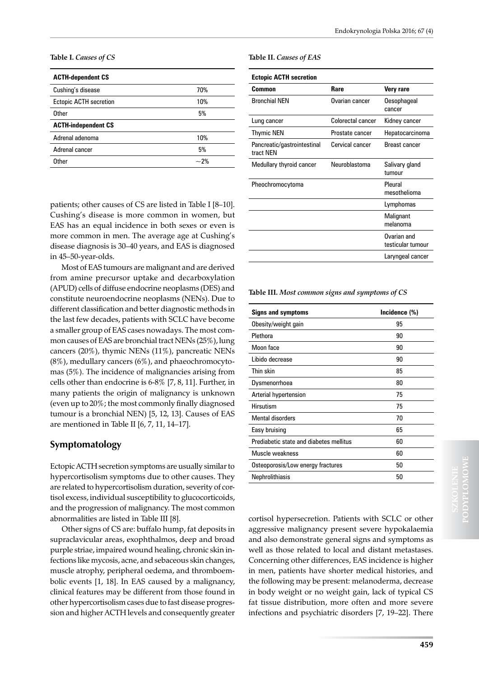#### **Table I.** *Causes of CS*

| 70%   |
|-------|
| 10%   |
| 5%    |
|       |
| 10%   |
| 5%    |
| $-2%$ |
|       |

|  |  |  | <b>Table II. Causes of EAS</b> |  |  |  |
|--|--|--|--------------------------------|--|--|--|
|--|--|--|--------------------------------|--|--|--|

| <b>Ectopic ACTH secretion</b>            |                   |                                  |
|------------------------------------------|-------------------|----------------------------------|
| Common                                   | Rare              | Very rare                        |
| <b>Bronchial NEN</b>                     | Ovarian cancer    | <b>Oesophageal</b><br>cancer     |
| Lung cancer                              | Colorectal cancer | Kidney cancer                    |
| <b>Thymic NEN</b>                        | Prostate cancer   | Hepatocarcinoma                  |
| Pancreatic/gastrointestinal<br>tract NEN | Cervical cancer   | <b>Breast cancer</b>             |
| Medullary thyroid cancer                 | Neuroblastoma     | Salivary gland<br>tumour         |
| Pheochromocytoma                         |                   | Pleural<br>mesothelioma          |
|                                          |                   | Lymphomas                        |
|                                          |                   | Malignant<br>melanoma            |
|                                          |                   | Ovarian and<br>testicular tumour |
|                                          |                   | Laryngeal cancer                 |

patients; other causes of CS are listed in Table I [8–10]. Cushing's disease is more common in women, but EAS has an equal incidence in both sexes or even is more common in men. The average age at Cushing's disease diagnosis is 30–40 years, and EAS is diagnosed in 45–50-year-olds.

Most of EAS tumours are malignant and are derived from amine precursor uptake and decarboxylation (APUD) cells of diffuse endocrine neoplasms (DES) and constitute neuroendocrine neoplasms (NENs). Due to different classification and better diagnostic methods in the last few decades, patients with SCLC have become a smaller group of EAS cases nowadays. The most common causes of EAS are bronchial tract NENs (25%), lung cancers (20%), thymic NENs (11%), pancreatic NENs  $(8\%)$ , medullary cancers  $(6\%)$ , and phaeochromocytomas (5%). The incidence of malignancies arising from cells other than endocrine is 6-8% [7, 8, 11]. Further, in many patients the origin of malignancy is unknown (even up to 20%; the most commonly finally diagnosed tumour is a bronchial NEN) [5, 12, 13]. Causes of EAS are mentioned in Table II [6, 7, 11, 14–17].

### **Symptomatology**

Ectopic ACTH secretion symptoms are usually similar to hypercortisolism symptoms due to other causes. They are related to hypercortisolism duration, severity of cortisol excess, individual susceptibility to glucocorticoids, and the progression of malignancy. The most common abnormalities are listed in Table III [8].

Other signs of CS are: buffalo hump, fat deposits in supraclavicular areas, exophthalmos, deep and broad purple striae, impaired wound healing, chronic skin infections like mycosis, acne, and sebaceous skin changes, muscle atrophy, peripheral oedema, and thromboembolic events [1, 18]. In EAS caused by a malignancy, clinical features may be different from those found in other hypercortisolism cases due to fast disease progression and higher ACTH levels and consequently greater **Table III.** *Most common signs and symptoms of CS*

| <b>Signs and symptoms</b>               | Incidence (%) |
|-----------------------------------------|---------------|
| Obesity/weight gain                     | 95            |
| Plethora                                | 90            |
| Moon face                               | 90            |
| Libido decrease                         | 90            |
| Thin skin                               | 85            |
| Dysmenorrhoea                           | 80            |
| Arterial hypertension                   | 75            |
| Hirsutism                               | 75            |
| <b>Mental disorders</b>                 | 70            |
| Easy bruising                           | 65            |
| Prediabetic state and diabetes mellitus | 60            |
| Muscle weakness                         | 60            |
| Osteoporosis/Low energy fractures       | 50            |
| Nephrolithiasis                         | 50            |

cortisol hypersecretion. Patients with SCLC or other aggressive malignancy present severe hypokalaemia and also demonstrate general signs and symptoms as well as those related to local and distant metastases. Concerning other differences, EAS incidence is higher in men, patients have shorter medical histories, and the following may be present: melanoderma, decrease in body weight or no weight gain, lack of typical CS fat tissue distribution, more often and more severe infections and psychiatric disorders [7, 19–22]. There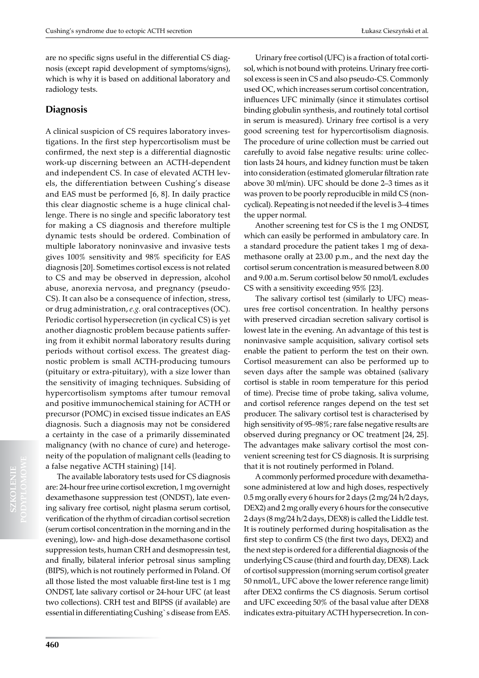are no specific signs useful in the differential CS diagnosis (except rapid development of symptoms/signs), which is why it is based on additional laboratory and radiology tests.

### **Diagnosis**

A clinical suspicion of CS requires laboratory investigations. In the first step hypercortisolism must be confirmed, the next step is a differential diagnostic work-up discerning between an ACTH-dependent and independent CS. In case of elevated ACTH levels, the differentiation between Cushing's disease and EAS must be performed [6, 8]. In daily practice this clear diagnostic scheme is a huge clinical challenge. There is no single and specific laboratory test for making a CS diagnosis and therefore multiple dynamic tests should be ordered. Combination of multiple laboratory noninvasive and invasive tests gives 100% sensitivity and 98% specificity for EAS diagnosis [20]. Sometimes cortisol excess is not related to CS and may be observed in depression, alcohol abuse, anorexia nervosa, and pregnancy (pseudo-CS). It can also be a consequence of infection, stress, or drug administration, *e.g.* oral contraceptives (OC). Periodic cortisol hypersecretion (in cyclical CS) is yet another diagnostic problem because patients suffering from it exhibit normal laboratory results during periods without cortisol excess. The greatest diagnostic problem is small ACTH-producing tumours (pituitary or extra-pituitary), with a size lower than the sensitivity of imaging techniques. Subsiding of hypercortisolism symptoms after tumour removal and positive immunochemical staining for ACTH or precursor (POMC) in excised tissue indicates an EAS diagnosis. Such a diagnosis may not be considered a certainty in the case of a primarily disseminated malignancy (with no chance of cure) and heterogeneity of the population of malignant cells (leading to a false negative ACTH staining) [14].

The available laboratory tests used for CS diagnosis are: 24-hour free urine cortisol excretion, 1 mg overnight dexamethasone suppression test (ONDST), late evening salivary free cortisol, night plasma serum cortisol, verification of the rhythm of circadian cortisol secretion (serum cortisol concentration in the morning and in the evening), low- and high-dose dexamethasone cortisol suppression tests, human CRH and desmopressin test, and finally, bilateral inferior petrosal sinus sampling (BIPS), which is not routinely performed in Poland. Of all those listed the most valuable first-line test is 1 mg ONDST, late salivary cortisol or 24-hour UFC (at least two collections). CRH test and BIPSS (if available) are essential in differentiating Cushing`s disease from EAS.

Urinary free cortisol (UFC) is a fraction of total cortisol, which is not bound with proteins. Urinary free cortisol excess is seen in CS and also pseudo-CS. Commonly used OC, which increases serum cortisol concentration, influences UFC minimally (since it stimulates cortisol binding globulin synthesis, and routinely total cortisol in serum is measured). Urinary free cortisol is a very good screening test for hypercortisolism diagnosis. The procedure of urine collection must be carried out carefully to avoid false negative results: urine collection lasts 24 hours, and kidney function must be taken into consideration (estimated glomerular filtration rate above 30 ml/min). UFC should be done 2–3 times as it was proven to be poorly reproducible in mild CS (noncyclical). Repeating is not needed if the level is 3–4 times the upper normal.

Another screening test for CS is the 1 mg ONDST, which can easily be performed in ambulatory care. In a standard procedure the patient takes 1 mg of dexamethasone orally at 23.00 p.m., and the next day the cortisol serum concentration is measured between 8.00 and 9.00 a.m. Serum cortisol below 50 nmol/L excludes CS with a sensitivity exceeding 95% [23].

The salivary cortisol test (similarly to UFC) measures free cortisol concentration. In healthy persons with preserved circadian secretion salivary cortisol is lowest late in the evening. An advantage of this test is noninvasive sample acquisition, salivary cortisol sets enable the patient to perform the test on their own. Cortisol measurement can also be performed up to seven days after the sample was obtained (salivary cortisol is stable in room temperature for this period of time). Precise time of probe taking, saliva volume, and cortisol reference ranges depend on the test set producer. The salivary cortisol test is characterised by high sensitivity of 95–98%; rare false negative results are observed during pregnancy or OC treatment [24, 25]. The advantages make salivary cortisol the most convenient screening test for CS diagnosis. It is surprising that it is not routinely performed in Poland.

A commonly performed procedure with dexamethasone administered at low and high doses, respectively 0.5 mg orally every 6 hours for 2 days (2 mg/24 h/2 days, DEX2) and 2 mg orally every 6 hours for the consecutive 2 days (8 mg/24 h/2 days, DEX8) is called the Liddle test. It is routinely performed during hospitalisation as the first step to confirm CS (the first two days, DEX2) and the next step is ordered for a differential diagnosis of the underlying CS cause (third and fourth day, DEX8). Lack of cortisol suppression (morning serum cortisol greater 50 nmol/L, UFC above the lower reference range limit) after DEX2 confirms the CS diagnosis. Serum cortisol and UFC exceeding 50% of the basal value after DEX8 indicates extra-pituitary ACTH hypersecretion. In con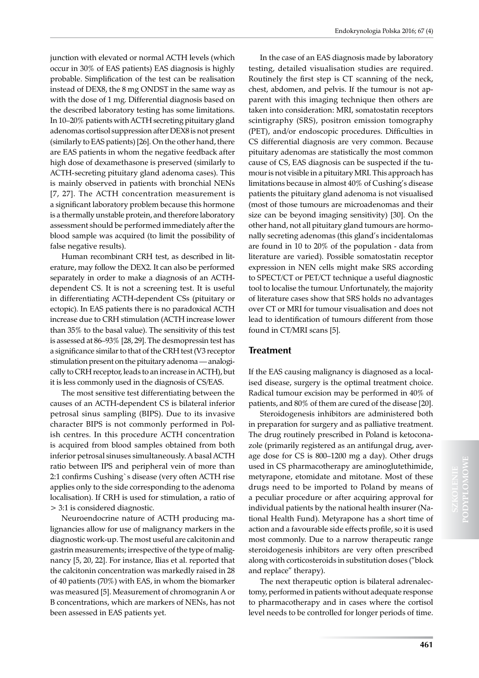junction with elevated or normal ACTH levels (which occur in 30% of EAS patients) EAS diagnosis is highly probable. Simplification of the test can be realisation instead of DEX8, the 8 mg ONDST in the same way as with the dose of 1 mg. Differential diagnosis based on the described laboratory testing has some limitations. In 10–20% patients with ACTH secreting pituitary gland adenomas cortisol suppression after DEX8 is not present (similarly to EAS patients) [26]. On the other hand, there are EAS patients in whom the negative feedback after high dose of dexamethasone is preserved (similarly to ACTH-secreting pituitary gland adenoma cases). This is mainly observed in patients with bronchial NENs [7, 27]. The ACTH concentration measurement is a significant laboratory problem because this hormone is a thermally unstable protein, and therefore laboratory assessment should be performed immediately after the blood sample was acquired (to limit the possibility of false negative results).

Human recombinant CRH test, as described in literature, may follow the DEX2. It can also be performed separately in order to make a diagnosis of an ACTHdependent CS. It is not a screening test. It is useful in differentiating ACTH-dependent CSs (pituitary or ectopic). In EAS patients there is no paradoxical ACTH increase due to CRH stimulation (ACTH increase lower than 35% to the basal value). The sensitivity of this test is assessed at 86–93% [28, 29]. The desmopressin test has a significance similar to that of the CRH test (V3 receptor stimulation present on the pituitary adenoma — analogically to CRH receptor, leads to an increase in ACTH), but it is less commonly used in the diagnosis of CS/EAS.

The most sensitive test differentiating between the causes of an ACTH-dependent CS is bilateral inferior petrosal sinus sampling (BIPS). Due to its invasive character BIPS is not commonly performed in Polish centres. In this procedure ACTH concentration is acquired from blood samples obtained from both inferior petrosal sinuses simultaneously. A basal ACTH ratio between IPS and peripheral vein of more than 2:1 confirms Cushing`s disease (very often ACTH rise applies only to the side corresponding to the adenoma localisation). If CRH is used for stimulation, a ratio of > 3:1 is considered diagnostic.

Neuroendocrine nature of ACTH producing malignancies allow for use of malignancy markers in the diagnostic work-up. The most useful are calcitonin and gastrin measurements; irrespective of the type of malignancy [5, 20, 22]. For instance, Ilias et al. reported that the calcitonin concentration was markedly raised in 28 of 40 patients (70%) with EAS, in whom the biomarker was measured [5]. Measurement of chromogranin A or B concentrations, which are markers of NENs, has not been assessed in EAS patients yet.

In the case of an EAS diagnosis made by laboratory testing, detailed visualisation studies are required. Routinely the first step is CT scanning of the neck, chest, abdomen, and pelvis. If the tumour is not apparent with this imaging technique then others are taken into consideration: MRI, somatostatin receptors scintigraphy (SRS), positron emission tomography (PET), and/or endoscopic procedures. Difficulties in CS differential diagnosis are very common. Because pituitary adenomas are statistically the most common cause of CS, EAS diagnosis can be suspected if the tumour is not visible in a pituitary MRI. This approach has limitations because in almost 40% of Cushing's disease patients the pituitary gland adenoma is not visualised (most of those tumours are microadenomas and their size can be beyond imaging sensitivity) [30]. On the other hand, not all pituitary gland tumours are hormonally secreting adenomas (this gland's incidentalomas are found in 10 to 20% of the population - data from literature are varied). Possible somatostatin receptor expression in NEN cells might make SRS according to SPECT/CT or PET/CT technique a useful diagnostic tool to localise the tumour. Unfortunately, the majority of literature cases show that SRS holds no advantages over CT or MRI for tumour visualisation and does not lead to identification of tumours different from those found in CT/MRI scans [5].

#### **Treatment**

If the EAS causing malignancy is diagnosed as a localised disease, surgery is the optimal treatment choice. Radical tumour excision may be performed in 40% of patients, and 80% of them are cured of the disease [20].

Steroidogenesis inhibitors are administered both in preparation for surgery and as palliative treatment. The drug routinely prescribed in Poland is ketoconazole (primarily registered as an antifungal drug, average dose for CS is 800–1200 mg a day). Other drugs used in CS pharmacotherapy are aminoglutethimide, metyrapone, etomidate and mitotane. Most of these drugs need to be imported to Poland by means of a peculiar procedure or after acquiring approval for individual patients by the national health insurer (National Health Fund). Metyrapone has a short time of action and a favourable side effects profile, so it is used most commonly. Due to a narrow therapeutic range steroidogenesis inhibitors are very often prescribed along with corticosteroids in substitution doses ("block and replace" therapy).

The next therapeutic option is bilateral adrenalectomy, performed in patients without adequate response to pharmacotherapy and in cases where the cortisol level needs to be controlled for longer periods of time.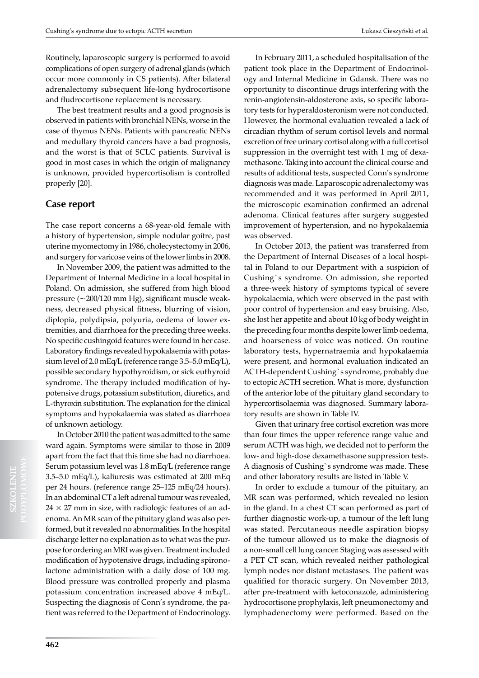Routinely, laparoscopic surgery is performed to avoid complications of open surgery of adrenal glands (which occur more commonly in CS patients). After bilateral adrenalectomy subsequent life-long hydrocortisone and fludrocortisone replacement is necessary.

The best treatment results and a good prognosis is observed in patients with bronchial NENs, worse in the case of thymus NENs. Patients with pancreatic NENs and medullary thyroid cancers have a bad prognosis, and the worst is that of SCLC patients. Survival is good in most cases in which the origin of malignancy is unknown, provided hypercortisolism is controlled properly [20].

### **Case report**

The case report concerns a 68-year-old female with a history of hypertension, simple nodular goitre, past uterine myomectomy in 1986, cholecystectomy in 2006, and surgery for varicose veins of the lower limbs in 2008.

In November 2009, the patient was admitted to the Department of Internal Medicine in a local hospital in Poland. On admission, she suffered from high blood pressure (~200/120 mm Hg), significant muscle weakness, decreased physical fitness, blurring of vision, diplopia, polydipsia, polyuria, oedema of lower extremities, and diarrhoea for the preceding three weeks. No specific cushingoid features were found in her case. Laboratory findings revealed hypokalaemia with potassium level of 2.0 mEq/L (reference range 3.5–5.0 mEq/L), possible secondary hypothyroidism, or sick euthyroid syndrome. The therapy included modification of hypotensive drugs, potassium substitution, diuretics, and L-thyroxin substitution. The explanation for the clinical symptoms and hypokalaemia was stated as diarrhoea of unknown aetiology.

In October 2010 the patient was admitted to the same ward again. Symptoms were similar to those in 2009 apart from the fact that this time she had no diarrhoea. Serum potassium level was 1.8 mEq/L (reference range 3.5–5.0 mEq/L), kaliuresis was estimated at 200 mEq per 24 hours. (reference range 25–125 mEq/24 hours). In an abdominal CT a left adrenal tumour was revealed,  $24 \times 27$  mm in size, with radiologic features of an adenoma. An MR scan of the pituitary gland was also performed, but it revealed no abnormalities. In the hospital discharge letter no explanation as to what was the purpose for ordering an MRI was given. Treatment included modification of hypotensive drugs, including spironolactone administration with a daily dose of 100 mg. Blood pressure was controlled properly and plasma potassium concentration increased above 4 mEq/L. Suspecting the diagnosis of Conn's syndrome, the patient was referred to the Department of Endocrinology.

In February 2011, a scheduled hospitalisation of the patient took place in the Department of Endocrinology and Internal Medicine in Gdansk. There was no opportunity to discontinue drugs interfering with the renin-angiotensin-aldosterone axis, so specific laboratory tests for hyperaldosteronism were not conducted. However, the hormonal evaluation revealed a lack of circadian rhythm of serum cortisol levels and normal excretion of free urinary cortisol along with a full cortisol suppression in the overnight test with 1 mg of dexamethasone. Taking into account the clinical course and results of additional tests, suspected Conn's syndrome diagnosis was made. Laparoscopic adrenalectomy was recommended and it was performed in April 2011, the microscopic examination confirmed an adrenal adenoma. Clinical features after surgery suggested improvement of hypertension, and no hypokalaemia was observed.

In October 2013, the patient was transferred from the Department of Internal Diseases of a local hospital in Poland to our Department with a suspicion of Cushing`s syndrome. On admission, she reported a three-week history of symptoms typical of severe hypokalaemia, which were observed in the past with poor control of hypertension and easy bruising. Also, she lost her appetite and about 10 kg of body weight in the preceding four months despite lower limb oedema, and hoarseness of voice was noticed. On routine laboratory tests, hypernatraemia and hypokalaemia were present, and hormonal evaluation indicated an ACTH-dependent Cushing`s syndrome, probably due to ectopic ACTH secretion. What is more, dysfunction of the anterior lobe of the pituitary gland secondary to hypercortisolaemia was diagnosed. Summary laboratory results are shown in Table IV.

Given that urinary free cortisol excretion was more than four times the upper reference range value and serum ACTH was high, we decided not to perform the low- and high-dose dexamethasone suppression tests. A diagnosis of Cushing`s syndrome was made. These and other laboratory results are listed in Table V.

In order to exclude a tumour of the pituitary, an MR scan was performed, which revealed no lesion in the gland. In a chest CT scan performed as part of further diagnostic work-up, a tumour of the left lung was stated. Percutaneous needle aspiration biopsy of the tumour allowed us to make the diagnosis of a non-small cell lung cancer. Staging was assessed with a PET CT scan, which revealed neither pathological lymph nodes nor distant metastases. The patient was qualified for thoracic surgery. On November 2013, after pre-treatment with ketoconazole, administering hydrocortisone prophylaxis, left pneumonectomy and lymphadenectomy were performed. Based on the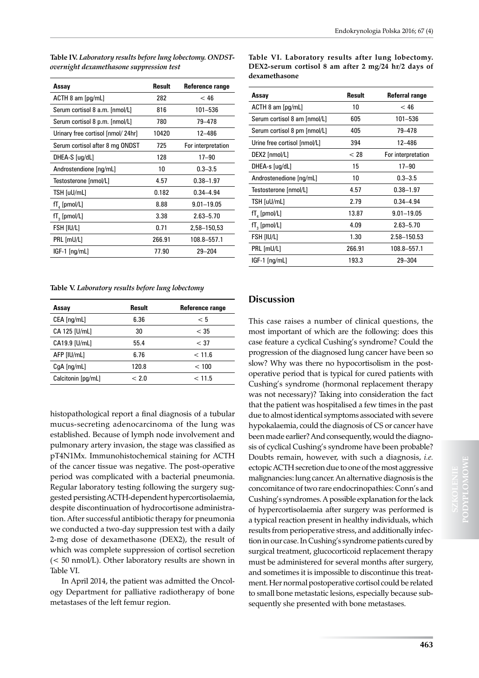| Assay                                 | <b>Result</b> | Reference range    |
|---------------------------------------|---------------|--------------------|
| ACTH 8 am [pg/mL]                     | 282           | < 46               |
| Serum cortisol 8 a.m. [nmol/L]        | 816           | 101-536            |
| Serum cortisol 8 p.m. [nmol/L]        | 780           | 79-478             |
| Urinary free cortisol [nmol/24hr]     | 10420         | 12-486             |
| Serum cortisol after 8 mg ONDST       | 725           | For interpretation |
| DHEA-S [ug/dL]                        | 128           | $17 - 90$          |
| Androstendione [ng/mL]                | 10            | $0.3 - 3.5$        |
| Testosterone [nmol/L]                 | 4.57          | $0.38 - 1.97$      |
| TSH [uU/mL]                           | 0.182         | $0.34 - 4.94$      |
| $\Pi_{\scriptscriptstyle 4}$ [pmol/L] | 8.88          | $9.01 - 19.05$     |
| $f_{\lambda}$ [pmol/L]                | 3.38          | $2.63 - 5.70$      |
| FSH [IU/L]                            | 0.71          | 2,58-150,53        |
| PRL [mU/L]                            | 266.91        | 108.8-557.1        |
| $IGF-1$ $[ng/mL]$                     | 77.90         | $29 - 204$         |

**Table IV.** *Laboratory results before lung lobectomy. ONDSTovernight dexamethasone suppression test*

**Table V.** *Laboratory results before lung lobectomy*

| Assay              | Result | Reference range |
|--------------------|--------|-----------------|
| CEA [ng/mL]        | 6.36   | < 5             |
| CA 125 [U/mL]      | 30     | $<$ 35          |
| CA19.9 [U/mL]      | 55.4   | $<$ 37          |
| AFP [IU/mL]        | 6.76   | < 11.6          |
| CgA [ng/mL]        | 120.8  | < 100           |
| Calcitonin [pg/mL] | < 2.0  | < 11.5          |
|                    |        |                 |

histopathological report a final diagnosis of a tubular mucus-secreting adenocarcinoma of the lung was established. Because of lymph node involvement and pulmonary artery invasion, the stage was classified as pT4N1Mx. Immunohistochemical staining for ACTH of the cancer tissue was negative. The post-operative period was complicated with a bacterial pneumonia. Regular laboratory testing following the surgery suggested persisting ACTH-dependent hypercortisolaemia, despite discontinuation of hydrocortisone administration. After successful antibiotic therapy for pneumonia we conducted a two-day suppression test with a daily 2-mg dose of dexamethasone (DEX2), the result of which was complete suppression of cortisol secretion (< 50 nmol/L). Other laboratory results are shown in Table VI.

In April 2014, the patient was admitted the Oncology Department for palliative radiotherapy of bone metastases of the left femur region.

**Table VI. Laboratory results after lung lobectomy. DEX2-serum cortisol 8 am after 2 mg/24 hr/2 days of dexamethasone**

| Assay                        | <b>Result</b> | Referral range     |
|------------------------------|---------------|--------------------|
| $ACTH$ 8 am $[pq/mL]$        | 10            | < 46               |
| Serum cortisol 8 am [nmol/L] | 605           | 101-536            |
| Serum cortisol 8 pm [nmol/L] | 405           | 79-478             |
| Urine free cortisol [nmol/L] | 394           | 12-486             |
| DEX2 [nmol/L]                | < 28          | For interpretation |
| DHEA-s [ug/dL]               | 15            | $17 - 90$          |
| Androstenedione [ng/mL]      | 10            | $0.3 - 3.5$        |
| Testosterone [nmol/L]        | 4.57          | $0.38 - 1.97$      |
| TSH [uU/mL]                  | 2.79          | $0.34 - 4.94$      |
| $fT_{\text{A}}$ [pmol/L]     | 13.87         | $9.01 - 19.05$     |
| $fT$ , [pmol/L]              | 4.09          | $2.63 - 5.70$      |
| FSH [IU/L]                   | 1.30          | 2.58-150.53        |
| PRL [mU/L]                   | 266.91        | 108.8-557.1        |
| IGF-1 [ng/mL]                | 193.3         | $29 - 304$         |

#### **Discussion**

This case raises a number of clinical questions, the most important of which are the following: does this case feature a cyclical Cushing's syndrome? Could the progression of the diagnosed lung cancer have been so slow? Why was there no hypocortisolism in the postoperative period that is typical for cured patients with Cushing's syndrome (hormonal replacement therapy was not necessary)? Taking into consideration the fact that the patient was hospitalised a few times in the past due to almost identical symptoms associated with severe hypokalaemia, could the diagnosis of CS or cancer have been made earlier? And consequently, would the diagnosis of cyclical Cushing's syndrome have been probable? Doubts remain, however, with such a diagnosis, *i.e.* ectopic ACTH secretion due to one of the most aggressive malignancies: lung cancer. An alternative diagnosis is the concomitance of two rare endocrinopathies: Conn's and Cushing's syndromes. A possible explanation for the lack of hypercortisolaemia after surgery was performed is a typical reaction present in healthy individuals, which results from perioperative stress, and additionally infection in our case. In Cushing's syndrome patients cured by surgical treatment, glucocorticoid replacement therapy must be administered for several months after surgery, and sometimes it is impossible to discontinue this treatment. Her normal postoperative cortisol could be related to small bone metastatic lesions, especially because subsequently she presented with bone metastases.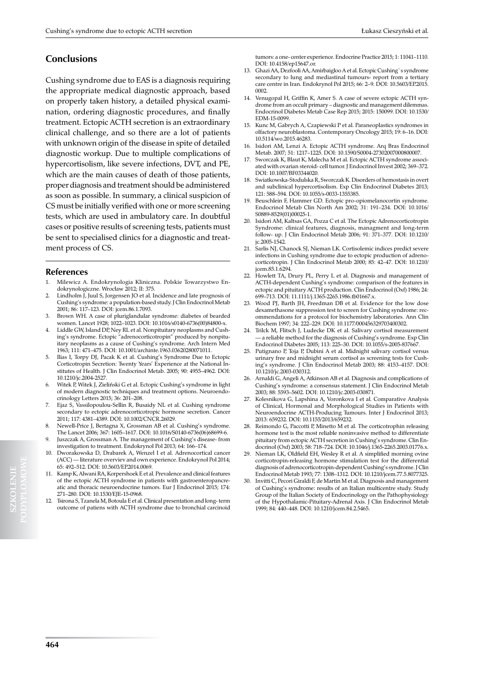## **Conclusions**

Cushing syndrome due to EAS is a diagnosis requiring the appropriate medical diagnostic approach, based on properly taken history, a detailed physical examination, ordering diagnostic procedures, and finally treatment. Ectopic ACTH secretion is an extraordinary clinical challenge, and so there are a lot of patients with unknown origin of the disease in spite of detailed diagnostic workup. Due to multiple complications of hypercortisolism, like severe infections, DVT, and PE, which are the main causes of death of those patients, proper diagnosis and treatment should be administered as soon as possible. In summary, a clinical suspicion of CS must be initially verified with one or more screening tests, which are used in ambulatory care. In doubtful cases or positive results of screening tests, patients must be sent to specialised clinics for a diagnostic and treatment process of CS.

#### **References**

- 1. Milewicz A. Endokrynologia Kliniczna. Polskie Towarzystwo Endokrynologiczne. Wrocław 2012; II: 375.
- Lindholm J, Juul S, Jorgensen JO et al. Incidence and late prognosis of Cushing's syndrome: a population-based study. J Clin Endocrinol Metab 2001; 86: 117–123. DOI: jcem.86.1.7093.
- Brown WH. A case of pluriglandular syndrome: diabetes of bearded women. Lancet 1928; 1022–1023. DOI: 10.1016/s0140-6736(00)84800-x.
- 4. Liddle GW, Island DP, Ney RL et al. Nonpituitary neoplasms and Cushing's syndrome. Ectopic "adrenocorticotropin" produced by nonpituitary neoplasms as a cause of Cushing's syndrome. Arch Intern Med 1963; 111: 471–475. DOI: 10.1001/archinte.1963.03620280071011.
- 5. Ilias I, Torpy DJ, Pacak K et al. Cushing's Syndrome Due to Ectopic Corticotropin Secretion: Twenty Years' Experience at the National Institutes of Health. J Clin Endocrinol Metab. 2005; 90: 4955–4962. DOI: 10.1210/jc.2004-2527.
- 6. Witek P, Witek J, Zieliński G et al. Ectopic Cushing's syndrome in light of modern diagnostic techniques and treatment options. Neuroendocrinology Letters 2015; 36: 201–208.
- 7. Ejaz S, Vassilopoulou-Sellin R, Busaidy NL et al. Cushing syndrome secondary to ectopic adrenocorticotropic hormone secretion. Cancer 2011; 117: 4381–4389. DOI: 10.1002/CNCR.26029.
- 8. Newell-Price J, Bertagna X, Grossman AB et al. Cushing's syndrome. The Lancet 2006; 367: 1605–1617. DOI: 10.1016/S0140-6736(06)68699-6.
- 9. Juszczak A, Grossman A. The management of Cushing's disease- from investigation to treatment. Endokrynol Pol 2013; 64: 166–174.
- 10. Dworakowska D, Drabarek A, Wenzel I et al. Adrenocortical cancer (ACC) — literature overviev and own experience. Endokrynol Pol 2014; 65: 492–512. DOI: 10.5603/EP.2014.0069.
- 11. Kamp K, Alwani RA, Korpershoek E et al. Prevalence and clinical features of the ectopic ACTH syndrome in patients with gastroenteropancreatic and thoracic neuroendocrine tumors. Eur J Endocrinol 2015; 174: 271–280. DOI: 10.1530/EJE-15-0968.
- 12. Tsirona S, Tzanela M, Botoula E et al. Clinical presentation and long- term outcome of patiens with ACTH syndrome due to bronchial carcinoid

tumors: a one- center experience. Endocrine Practice 2015; 1: 11041–1110. DOI: 10.4158/ep15647.or.

- 13. Ghazi AA, Dezfooli AA, Amirbaigloo A et al. Ectopic Cushing`s syndrome secondary to lung and mediastinal tumours- report from a tertiary care centre in Iran. Endokrynol Pol 2015; 66: 2–9. DOI: 10.5603/EP.2015. 0002.
- 14. Venugopal H, Griffin K, Amer S. A case of severe ectopic ACTH syndrome from an occult primary – diagnostic and management dilemmas. Endocrinol Diabetes Metab Case Rep 2015; 2015: 150099. DOI: 10.1530/ EDM-15-0099.
- 15. Kunc M, Gabrych A, Czapiewski P et al. Paraneoplastics syndromes in olfactory neuroblastoma. Contemporary Oncology 2015; 19: 6–16. DOI: 10.5114/wo.2015.46283.
- 16. Isidori AM, Lenzi A. Ectopic ACTH syndrome. Arq Bras Endocrinol Metab. 2007; 51: 1217–1225. DOI: 10.1590/S0004-27302007000800007.
- 17. Sworczak K, Blaut K, Malecha M et al. Ectopic ACTH syndrome associated with ovarian steroid- cell tumor. J Endocrinol Invest 2002; 369–372. DOI: 10.1007/BF03344020.
- 18. Swiatkowska-Stodulska R, Sworczak K. Disorders of hemostasis in overt and subclinical hypercortisolism. Exp Clin Endocrinol Diabetes 2013; 121: 588–594. DOI: 10.1055/s-0033-1355385.
- Beuschlein F, Hammer GD. Ectopic pro-opiomelanocortin syndrome. Endocrinol Metab Clin North Am 2002; 31: 191–234. DOI: 10.1016/ S0889-8529(01)00025-1.
- Isidori AM, Kaltsas GA, Pozza C et al. The Ectopic Adrenocorticotropin Syndrome: clinical features, diagnosis, managment and long-term follow- up. J Clin Endocrinol Metab 2006; 91: 371–377. DOI: 10.1210/ jc.2005-1542.
- 21. Sarlis NJ, Chanock SJ, Nieman LK. Cortisolemic indices predict severe infections in Cushing syndrome due to ectopic production of adrenocorticotropin. J Clin Endocrinol Metab 2000; 85: 42–47. DOI: 10.1210/ jcem.85.1.6294.
- 22. Howlett TA, Drury PL, Perry L et al. Diagnosis and management of ACTH-dependent Cushing's syndrome: comparison of the features in ectopic and pituitary ACTH production. Clin Endocrinol (Oxf) 1986; 24: 699–713. DOI: 11.1111/j.1365-2265.1986.tb01667.x.
- 23. Wood PJ, Barth JH, Freedman DB et al. Evidence for the low dose dexamethasone suppression test to screen for Cushing syndrome: recommendations for a protocol for biochemistry laboratories. Ann Clin Biochem 1997; 34: 222–229. DOI: 10.1177/000456329703400302.
- 24. Trilck M, Flitsch J, Ludecke DK et al. Salivary cortisol measurement — a reliable method for the diagnosis of Cushing's syndrome. Exp Clin Endocrinol Diabetes 2005; 113: 225–30. DOI: 10.1055/s-2005-837667.
- 25. Putignano P, Toja P, Dubini A et al. Midnight salivary cortisol versus urinary free and midnight serum cortisol as screening tests for Cushing's syndrome. J Clin Endocrinol Metab 2003; 88: 4153–4157. DOI: 10.1210/jc.2003-030312.
- 26. Arnaldi G, Angeli A, Atkinson AB et al. Diagnosis and complications of Cushing's syndrome: a consensus statement. J Clin Endocrinol Metab 2003; 88: 5593–5602. DOI: 10.1210/jc.2003-030871.
- 27. Kolesnikova G, Lapshina A, Voronkova I et al. Comparative Analysis of Clinical, Hormonal and Morphological Studies in Patients with Neuroendocrine ACTH-Producing Tumours. Inter J Endocrinol 2013; 2013: 659232. DOI: 10.1155/2013/659232.
- 28. Reimondo G, Paccotti P, Minetto M et al. The corticotrophin releasing hormone test is the most reliable noninvasive method to differentiate pituitary from ectopic ACTH secretion in Cushing's syndrome. Clin Endocrinol (Oxf) 2003; 58: 718–724. DOI: 10.1046/j.1365-2265.2003.01776.x.
- 29. Nieman LK, Oldfield EH, Wesley R et al. A simplified morning ovine corticotropin-releasing hormone stimulation test for the differential diagnosis of adrenocorticotropin-dependent Cushing's syndrome. J Clin Endocrinol Metab 1993; 77: 1308–1312. DOI: 10.1210/jcem.77.5.8077325.
- 30. Invitti C, Pecori Giraldi F, de Martin M et al. Diagnosis and management of Cushing's syndrome: results of an Italian multicentre study. Study Group of the Italian Society of Endocrinology on the Pathophysiology of the Hypothalamic-Pituitary-Adrenal Axis. J Clin Endocrinol Metab 1999; 84: 440–448. DOI: 10.1210/jcem.84.2.5465.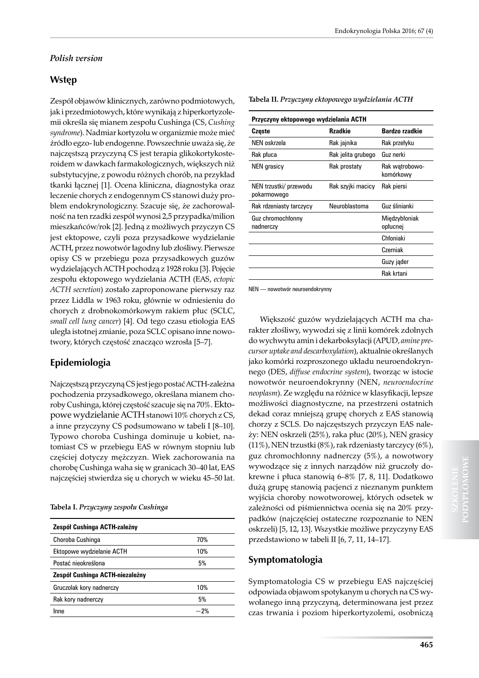### *Polish version*

# **Wstęp**

Zespół objawów klinicznych, zarówno podmiotowych, jak i przedmiotowych, które wynikają z hiperkortyzolemii określa się mianem zespołu Cushinga (CS, *Cushing syndrome*). Nadmiar kortyzolu w organizmie może mieć źródło egzo- lub endogenne. Powszechnie uważa się, że najczęstszą przyczyną CS jest terapia glikokortykosteroidem w dawkach farmakologicznych, większych niż substytucyjne, z powodu różnych chorób, na przykład tkanki łącznej [1]. Ocena kliniczna, diagnostyka oraz leczenie chorych z endogennym CS stanowi duży problem endokrynologiczny. Szacuje się, że zachorowalność na ten rzadki zespół wynosi 2,5 przypadka/milion mieszkańców/rok [2]. Jedną z możliwych przyczyn CS jest ektopowe, czyli poza przysadkowe wydzielanie ACTH, przez nowotwór łagodny lub złośliwy. Pierwsze opisy CS w przebiegu poza przysadkowych guzów wydzielających ACTH pochodzą z 1928 roku [3]. Pojęcie zespołu ektopowego wydzielania ACTH (EAS, *ectopic ACTH secretion*) zostało zaproponowane pierwszy raz przez Liddla w 1963 roku, głównie w odniesieniu do chorych z drobnokomórkowym rakiem płuc (SCLC, *small cell lung cancer*) [4]. Od tego czasu etiologia EAS uległa istotnej zmianie, poza SCLC opisano inne nowotwory, których częstość znacząco wzrosła [5–7].

# **Epidemiologia**

Najczęstszą przyczyną CS jest jego postać ACTH-zależna pochodzenia przysadkowego, określana mianem choroby Cushinga, której częstość szacuje się na 70%. Ektopowe wydzielanie ACTH stanowi 10% chorych z CS, a inne przyczyny CS podsumowano w tabeli I [8–10]. Typowo choroba Cushinga dominuje u kobiet, natomiast CS w przebiegu EAS w równym stopniu lub częściej dotyczy mężczyzn. Wiek zachorowania na chorobę Cushinga waha się w granicach 30–40 lat, EAS najczęściej stwierdza się u chorych w wieku 45–50 lat.

**Tabela I.** *Przyczyny zespołu Cushinga*

| Zespół Cushinga ACTH-zależny    |       |
|---------------------------------|-------|
| Choroba Cushinga                | 70%   |
| Ektopowe wydzielanie ACTH       | 10%   |
| Postać nieokreślona             | 5%    |
| Zespół Cushinga ACTH-niezależny |       |
| Gruczolak kory nadnerczy        | 10%   |
| Rak kory nadnerczy              | 5%    |
| Inne                            | $-2%$ |

**Tabela II.** *Przyczyny ektopowego wydzielania ACTH*

| Przyczyny ektopowego wydzielania ACTH |                    |                             |
|---------------------------------------|--------------------|-----------------------------|
| Częste                                | <b>Rzadkie</b>     | <b>Bardzo rzadkie</b>       |
| NEN oskrzela                          | Rak jajnika        | Rak przełyku                |
| Rak płuca                             | Rak jelita grubego | Guz nerki                   |
| <b>NEN</b> grasicy                    | Rak prostaty       | Rak wątrobowo-<br>komórkowy |
| NEN trzustki/ przewodu<br>pokarmowego | Rak szyjki macicy  | Rak piersi                  |
| Rak rdzeniasty tarczycy               | Neuroblastoma      | Guz ślinianki               |
| Guz chromochłonny<br>nadnerczy        |                    | Międzybłoniak<br>opłucnej   |
|                                       |                    | Chłoniaki                   |
|                                       |                    | Czerniak                    |
|                                       |                    | Guzy jąder                  |
|                                       |                    | Rak krtani                  |

NEN — nowotwór neuroendokrynny

Większość guzów wydzielających ACTH ma charakter złośliwy, wywodzi się z linii komórek zdolnych do wychwytu amin i dekarboksylacji (APUD, *amine precursor uptake and descarboxylation*), aktualnie określanych jako komórki rozproszonego układu neuroendokrynnego (DES, *diffuse endocrine system*), tworząc w istocie nowotwór neuroendokrynny (NEN, *neuroendocrine neoplasm*). Ze względu na różnice w klasyfikacji, lepsze możliwości diagnostyczne, na przestrzeni ostatnich dekad coraz mniejszą grupę chorych z EAS stanowią chorzy z SCLS. Do najczęstszych przyczyn EAS należy: NEN oskrzeli (25%), raka płuc (20%), NEN grasicy (11%), NEN trzustki (8%), rak rdzeniasty tarczycy (6%), guz chromochłonny nadnerczy (5%), a nowotwory wywodzące się z innych narządów niż gruczoły dokrewne i płuca stanowią 6–8% [7, 8, 11]. Dodatkowo dużą grupę stanowią pacjenci z nieznanym punktem wyjścia choroby nowotworowej, których odsetek w zależności od piśmiennictwa ocenia się na 20% przypadków (najczęściej ostateczne rozpoznanie to NEN oskrzeli) [5, 12, 13]. Wszystkie możliwe przyczyny EAS przedstawiono w tabeli II [6, 7, 11, 14–17].

### **Symptomatologia**

Symptomatologia CS w przebiegu EAS najczęściej odpowiada objawom spotykanym u chorych na CS wywołanego inną przyczyną, determinowana jest przez czas trwania i poziom hiperkortyzolemi, osobniczą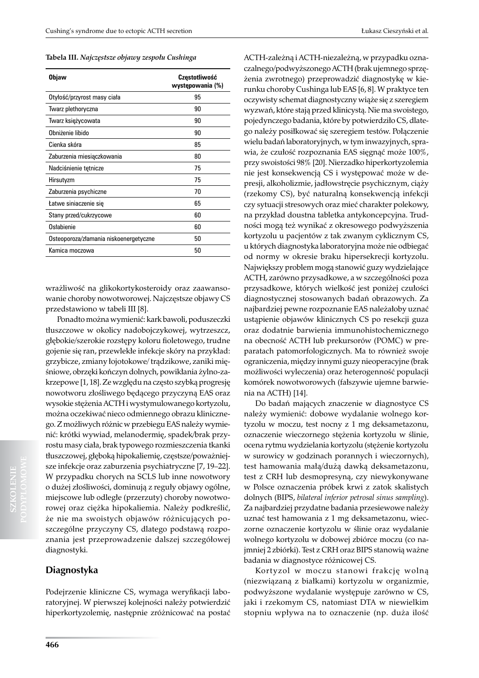**Tabela III.** *Najczęstsze objawy zespołu Cushinga*

| <b>Objaw</b>                           | Częstotliwość<br>występowania (%) |
|----------------------------------------|-----------------------------------|
| Otyłość/przyrost masy ciała            | 95                                |
| Twarz plethoryczna                     | 90                                |
| Twarz księżycowata                     | 90                                |
| Obniżenie libido                       | 90                                |
| Cienka skóra                           | 85                                |
| Zaburzenia miesiączkowania             | 80                                |
| Nadciśnienie tętnicze                  | 75                                |
| Hirsutyzm                              | 75                                |
| Zaburzenia psychiczne                  | 70                                |
| Łatwe siniaczenie sie                  | 65                                |
| Stany przed/cukrzycowe                 | 60                                |
| Ostabienie                             | 60                                |
| Osteoporoza/złamania niskoenergetyczne | 50                                |
| Kamica moczowa                         | 50                                |

wrażliwość na glikokortykosteroidy oraz zaawansowanie choroby nowotworowej. Najczęstsze objawy CS przedstawiono w tabeli III [8].

Ponadto można wymienić: kark bawoli, poduszeczki tłuszczowe w okolicy nadobojczykowej, wytrzeszcz, głębokie/szerokie rozstępy koloru fioletowego, trudne gojenie się ran, przewlekłe infekcje skóry na przykład: grzybicze, zmiany łojotokowe/ trądzikowe, zaniki mięśniowe, obrzęki kończyn dolnych, powikłania żylno-zakrzepowe [1, 18]. Ze względu na często szybką progresję nowotworu złośliwego będącego przyczyną EAS oraz wysokie stężenia ACTH i wystymulowanego kortyzolu, można oczekiwać nieco odmiennego obrazu klinicznego. Z możliwych różnic w przebiegu EAS należy wymienić: krótki wywiad, melanodermię, spadek/brak przyrostu masy ciała, brak typowego rozmieszczenia tkanki tłuszczowej, głęboką hipokaliemię, częstsze/poważniejsze infekcje oraz zaburzenia psychiatryczne [7, 19–22]. W przypadku chorych na SCLS lub inne nowotwory o dużej złośliwości, dominują z reguły objawy ogólne, miejscowe lub odległe (przerzuty) choroby nowotworowej oraz ciężka hipokaliemia. Należy podkreślić, że nie ma swoistych objawów różnicujących poszczególne przyczyny CS, dlatego podstawą rozpoznania jest przeprowadzenie dalszej szczegółowej diagnostyki.

### **Diagnostyka**

Podejrzenie kliniczne CS, wymaga weryfikacji laboratoryjnej. W pierwszej kolejności należy potwierdzić hiperkortyzolemię, następnie zróżnicować na postać

ACTH-zależną i ACTH-niezależną, w przypadku oznaczalnego/podwyższonego ACTH (brak ujemnego sprzężenia zwrotnego) przeprowadzić diagnostykę w kierunku choroby Cushinga lub EAS [6, 8]. W praktyce ten oczywisty schemat diagnostyczny wiąże się z szeregiem wyzwań, które stają przed klinicystą. Nie ma swoistego, pojedynczego badania, które by potwierdziło CS, dlatego należy posiłkować się szeregiem testów. Połączenie wielu badań laboratoryjnych, w tym inwazyjnych, sprawia, że czułość rozpoznania EAS sięgnąć może 100%, przy swoistości 98% [20]. Nierzadko hiperkortyzolemia nie jest konsekwencją CS i występować może w depresji, alkoholizmie, jadłowstręcie psychicznym, ciąży (rzekomy CS), być naturalną konsekwencją infekcji czy sytuacji stresowych oraz mieć charakter polekowy, na przykład doustna tabletka antykoncepcyjna. Trudności mogą też wynikać z okresowego podwyższenia kortyzolu u pacjentów z tak zwanym cyklicznym CS, u których diagnostyka laboratoryjna może nie odbiegać od normy w okresie braku hipersekrecji kortyzolu. Największy problem mogą stanowić guzy wydzielające ACTH, zarówno przysadkowe, a w szczególności poza przysadkowe, których wielkość jest poniżej czułości diagnostycznej stosowanych badań obrazowych. Za najbardziej pewne rozpoznanie EAS należałoby uznać ustąpienie objawów klinicznych CS po resekcji guza oraz dodatnie barwienia immunohistochemicznego na obecność ACTH lub prekursorów (POMC) w preparatach patomorfologicznych. Ma to również swoje ograniczenia, między innymi guzy nieoperacyjne (brak możliwości wyleczenia) oraz heterogenność populacji komórek nowotworowych (fałszywie ujemne barwienia na ACTH) [14].

Do badań mających znaczenie w diagnostyce CS należy wymienić: dobowe wydalanie wolnego kortyzolu w moczu, test nocny z 1 mg deksametazonu, oznaczenie wieczornego stężenia kortyzolu w ślinie, ocena rytmu wydzielania kortyzolu (stężenie kortyzolu w surowicy w godzinach porannych i wieczornych), test hamowania małą/dużą dawką deksametazonu, test z CRH lub desmopresyną, czy niewykonywane w Polsce oznaczenia próbek krwi z zatok skalistych dolnych (BIPS, *bilateral inferior petrosal sinus sampling*). Za najbardziej przydatne badania przesiewowe należy uznać test hamowania z 1 mg deksametazonu, wieczorne oznaczenie kortyzolu w ślinie oraz wydalanie wolnego kortyzolu w dobowej zbiórce moczu (co najmniej 2 zbiórki). Test z CRH oraz BIPS stanowią ważne badania w diagnostyce różnicowej CS.

Kortyzol w moczu stanowi frakcję wolną (niezwiązaną z białkami) kortyzolu w organizmie, podwyższone wydalanie występuje zarówno w CS, jaki i rzekomym CS, natomiast DTA w niewielkim stopniu wpływa na to oznaczenie (np. duża ilość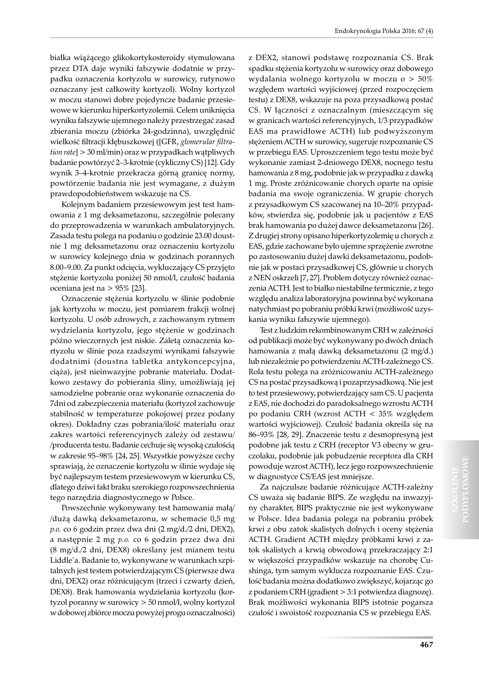białka wiążącego glikokortykosteroidy stymulowana przez DTA daje wyniki fałszywie dodatnie w przypadku oznaczenia kortyzolu w surowicy, rutynowo oznaczany jest całkowity kortyzol). Wolny kortyzol w moczu stanowi dobre pojedyncze badanie przesiewowe w kierunku hiperkortyzolemii. Celem uniknięcia wyniku fałszywie ujemnego należy przestrzegać zasad zbierania moczu (zbiórka 24-godzinna), uwzględnić wielkość filtracji kłębuszkowej ([GFR, *glomerular filtration rate*] > 30 ml/min) oraz w przypadkach wątpliwych badanie powtórzyć 2–3-krotnie (cykliczny CS) [12]. Gdy wynik 3–4-krotnie przekracza górną granicę normy, powtórzenie badania nie jest wymagane, z dużym prawdopodobieństwem wskazuje na CS.

Kolejnym badaniem przesiewowym jest test hamowania z 1 mg deksametazonu, szczególnie polecany do przeprowadzenia w warunkach ambulatoryjnych. Zasada testu polega na podaniu o godzinie 23.00 doustnie 1 mg deksametazonu oraz oznaczeniu kortyzolu w surowicy kolejnego dnia w godzinach porannych 8.00–9.00. Za punkt odcięcia, wykluczający CS przyjęto stężenie kortyzolu poniżej 50 nmol/l, czułość badania oceniana jest na > 95% [23].

Oznaczenie stężenia kortyzolu w ślinie podobnie jak kortyzolu w moczu, jest pomiarem frakcji wolnej kortyzolu. U osób zdrowych, z zachowanym rytmem wydzielania kortyzolu, jego stężenie w godzinach późno wieczornych jest niskie. Zaletą oznaczenia kortyzolu w ślinie poza rzadszymi wynikami fałszywie dodatnimi (doustna tabletka antykoncepcyjna, ciąża), jest nieinwazyjne pobranie materiału. Dodatkowo zestawy do pobierania śliny, umożliwiają jej samodzielne pobranie oraz wykonanie oznaczenia do 7dni od zabezpieczenia materiału (kortyzol zachowuje stabilność w temperaturze pokojowej przez podany okres). Dokładny czas pobrania/ilość materiału oraz zakres wartości referencyjnych zależy od zestawu/ /producenta testu. Badanie cechuje się wysoką czułością w zakresie 95–98% [24, 25]. Wszystkie powyższe cechy sprawiają, że oznaczenie kortyzolu w ślinie wydaje się być najlepszym testem przesiewowym w kierunku CS, dlatego dziwi fakt braku szerokiego rozpowszechnienia tego narzędzia diagnostycznego w Polsce.

Powszechnie wykonywany test hamowania małą/ /dużą dawką deksametazonu, w schemacie 0,5 mg *p.o.* co 6 godzin przez dwa dni (2 mg/d./2 dni, DEX2), a następnie 2 mg *p.o.* co 6 godzin przez dwa dni (8 mg/d./2 dni, DEX8) określany jest mianem testu Liddle'a. Badanie to, wykonywane w warunkach szpitalnych jest testem potwierdzającym CS (pierwsze dwa dni, DEX2) oraz różnicującym (trzeci i czwarty dzień, DEX8). Brak hamowania wydzielania kortyzolu (kortyzol poranny w surowicy > 50 nmol/l, wolny kortyzol w dobowej zbiórce moczu powyżej progu oznaczalności) z DEX2, stanowi podstawę rozpoznania CS. Brak spadku stężenia kortyzolu w surowicy oraz dobowego wydalania wolnego kortyzolu w moczu o > 50% względem wartości wyjściowej (przed rozpoczęciem testu) z DEX8, wskazuje na poza przysadkową postać CS. W łączności z oznaczalnym (mieszczącym się w granicach wartości referencyjnych, 1/3 przypadków EAS ma prawidłowe ACTH) lub podwyższonym stężeniem ACTH w surowicy, sugeruje rozpoznanie CS w przebiegu EAS. Uproszczeniem tego testu może być wykonanie zamiast 2-dniowego DEX8, nocnego testu hamowania z 8 mg, podobnie jak w przypadku z dawką 1 mg. Proste zróżnicowanie chorych oparte na opisie badania ma swoje ograniczenia. W grupie chorych z przysadkowym CS szacowanej na 10–20% przypadków, stwierdza się, podobnie jak u pacjentów z EAS brak hamowania po dużej dawce deksametazonu [26]. Z drugiej strony opisano hiperkortyzolemię u chorych z EAS, gdzie zachowane było ujemne sprzężenie zwrotne po zastosowaniu dużej dawki deksametazonu, podobnie jak w postaci przysadkowej CS, głównie u chorych z NEN oskrzeli [7, 27]. Problem dotyczy również oznaczenia ACTH. Jest to białko niestabilne termicznie, z tego względu analiza laboratoryjna powinna być wykonana natychmiast po pobraniu próbki krwi (możliwość uzyskania wyniku fałszywie ujemnego).

Test z ludzkim rekombinowanym CRH w zależności od publikacji może być wykonywany po dwóch dniach hamowania z małą dawką deksametazonu (2 mg/d.) lub niezależnie po potwierdzeniu ACTH-zależnego CS. Rola testu polega na zróżnicowaniu ACTH-zależnego CS na postać przysadkową i pozaprzysadkową. Nie jest to test przesiewowy, potwierdzający sam CS. U pacjenta z EAS, nie dochodzi do paradoksalnego wzrostu ACTH po podaniu CRH (wzrost ACTH < 35% względem wartości wyjściowej). Czułość badania określa się na 86–93% [28, 29]. Znaczenie testu z desmopresyną jest podobne jak testu z CRH (receptor V3 obecny w gruczolaku, podobnie jak pobudzenie receptora dla CRH powoduje wzrost ACTH), lecz jego rozpowszechnienie w diagnostyce CS/EAS jest mniejsze.

Za najczulsze badanie różnicujące ACTH-zależny CS uważa się badanie BIPS. Ze względu na inwazyjny charakter, BIPS praktycznie nie jest wykonywane w Polsce. Idea badania polega na pobraniu próbek krwi z obu zatok skalistych dolnych i oceny stężenia ACTH. Gradient ACTH między próbkami krwi z zatok skalistych a krwią obwodową przekraczający 2:1 w większości przypadków wskazuje na chorobę Cushinga, tym samym wyklucza rozpoznanie EAS. Czułość badania można dodatkowo zwiększyć, kojarząc go z podaniem CRH (gradient > 3:1 potwierdza diagnozę). Brak możliwości wykonania BIPS istotnie pogarsza czułość i swoistość rozpoznania CS w przebiegu EAS.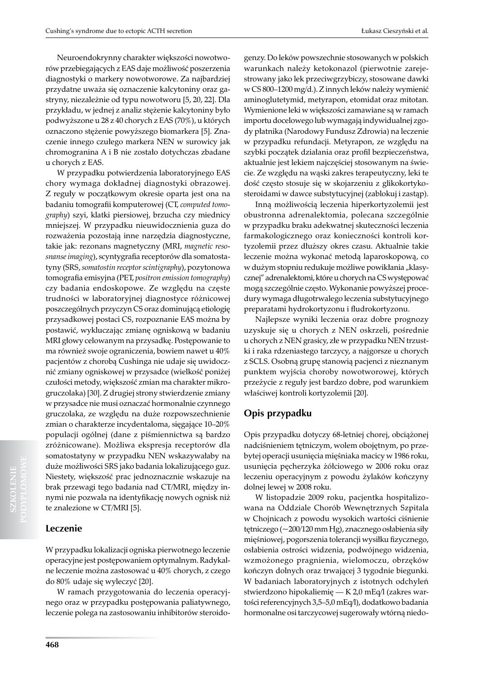Neuroendokrynny charakter większości nowotworów przebiegających z EAS daje możliwość poszerzenia diagnostyki o markery nowotworowe. Za najbardziej przydatne uważa się oznaczenie kalcytoniny oraz gastryny, niezależnie od typu nowotworu [5, 20, 22]. Dla przykładu, w jednej z analiz stężenie kalcytoniny było podwyższone u 28 z 40 chorych z EAS (70%), u których oznaczono stężenie powyższego biomarkera [5]. Znaczenie innego czułego markera NEN w surowicy jak chromogranina A i B nie zostało dotychczas zbadane u chorych z EAS.

W przypadku potwierdzenia laboratoryjnego EAS chory wymaga dokładnej diagnostyki obrazowej. Z reguły w początkowym okresie oparta jest ona na badaniu tomografii komputerowej (CT, *computed tomography*) szyi, klatki piersiowej, brzucha czy miednicy mniejszej. W przypadku nieuwidocznienia guza do rozważenia pozostają inne narzędzia diagnostyczne, takie jak: rezonans magnetyczny (MRI, *magnetic resosnanse imaging*), scyntygrafia receptorów dla somatostatyny (SRS, *somatostin receptor scintigraphy*), pozytonowa tomografia emisyjna (PET, *positron emission tomography*) czy badania endoskopowe. Ze względu na częste trudności w laboratoryjnej diagnostyce różnicowej poszczególnych przyczyn CS oraz dominującą etiologię przysadkowej postaci CS, rozpoznanie EAS można by postawić, wykluczając zmianę ogniskową w badaniu MRI głowy celowanym na przysadkę. Postępowanie to ma również swoje ograniczenia, bowiem nawet u 40% pacjentów z chorobą Cushinga nie udaje się uwidocznić zmiany ogniskowej w przysadce (wielkość poniżej czułości metody, większość zmian ma charakter mikrogruczolaka) [30]. Z drugiej strony stwierdzenie zmiany w przysadce nie musi oznaczać hormonalnie czynnego gruczolaka, ze względu na duże rozpowszechnienie zmian o charakterze incydentaloma, sięgające 10–20% populacji ogólnej (dane z piśmiennictwa są bardzo zróżnicowane). Możliwa ekspresja receptorów dla somatostatyny w przypadku NEN wskazywałaby na duże możliwości SRS jako badania lokalizującego guz. Niestety, większość prac jednoznacznie wskazuje na brak przewagi tego badania nad CT/MRI, między innymi nie pozwala na identyfikację nowych ognisk niż te znalezione w CT/MRI [5].

# **Leczenie**

W przypadku lokalizacji ogniska pierwotnego leczenie operacyjne jest postępowaniem optymalnym. Radykalne leczenie można zastosować u 40% chorych, z czego do 80% udaje się wyleczyć [20].

W ramach przygotowania do leczenia operacyjnego oraz w przypadku postępowania paliatywnego, leczenie polega na zastosowaniu inhibitorów steroido-

genzy. Do leków powszechnie stosowanych w polskich warunkach należy ketokonazol (pierwotnie zarejestrowany jako lek przeciwgrzybiczy, stosowane dawki w CS 800–1200 mg/d.). Z innych leków należy wymienić aminoglutetymid, metyrapon, etomidat oraz mitotan. Wymienione leki w większości zamawiane są w ramach importu docelowego lub wymagają indywidualnej zgody płatnika (Narodowy Fundusz Zdrowia) na leczenie w przypadku refundacji. Metyrapon, ze względu na szybki początek działania oraz profil bezpieczeństwa, aktualnie jest lekiem najczęściej stosowanym na świecie. Ze względu na wąski zakres terapeutyczny, leki te dość często stosuje się w skojarzeniu z glikokortykosteroidami w dawce substytucyjnej (zablokuj i zastąp).

Inną możliwością leczenia hiperkortyzolemii jest obustronna adrenalektomia, polecana szczególnie w przypadku braku adekwatnej skuteczności leczenia farmakologicznego oraz konieczności kontroli kortyzolemii przez dłuższy okres czasu. Aktualnie takie leczenie można wykonać metodą laparoskopową, co w dużym stopniu redukuje możliwe powikłania "klasycznej" adrenalektomi, które u chorych na CS występować mogą szczególnie często. Wykonanie powyższej procedury wymaga długotrwalego leczenia substytucyjnego preparatami hydrokortyzonu i fludrokortyzonu.

Najlepsze wyniki leczenia oraz dobre prognozy uzyskuje się u chorych z NEN oskrzeli, pośrednie u chorych z NEN grasicy, złe w przypadku NEN trzustki i raka rdzeniastego tarczycy, a najgorsze u chorych z SCLS. Osobną grupę stanowią pacjenci z nieznanym punktem wyjścia choroby nowotworowej, których przeżycie z reguły jest bardzo dobre, pod warunkiem właściwej kontroli kortyzolemii [20].

# **Opis przypadku**

Opis przypadku dotyczy 68-letniej chorej, obciążonej nadciśnieniem tętniczym, wolem obojętnym, po przebytej operacji usunięcia mięśniaka macicy w 1986 roku, usunięcia pęcherzyka żółciowego w 2006 roku oraz leczeniu operacyjnym z powodu żylaków kończyny dolnej lewej w 2008 roku.

W listopadzie 2009 roku, pacjentka hospitalizowana na Oddziale Chorób Wewnętrznych Szpitala w Chojnicach z powodu wysokich wartości ciśnienie tętniczego (~200/120 mm Hg), znacznego osłabienia siły mięśniowej, pogorszenia tolerancji wysiłku fizycznego, osłabienia ostrości widzenia, podwójnego widzenia, wzmożonego pragnienia, wielomoczu, obrzęków kończyn dolnych oraz trwającej 3 tygodnie biegunki. W badaniach laboratoryjnych z istotnych odchyleń stwierdzono hipokaliemię — K 2,0 mEq/l (zakres wartości referencyjnych 3,5–5,0 mEq/l), dodatkowo badania hormonalne osi tarczycowej sugerowały wtórną niedo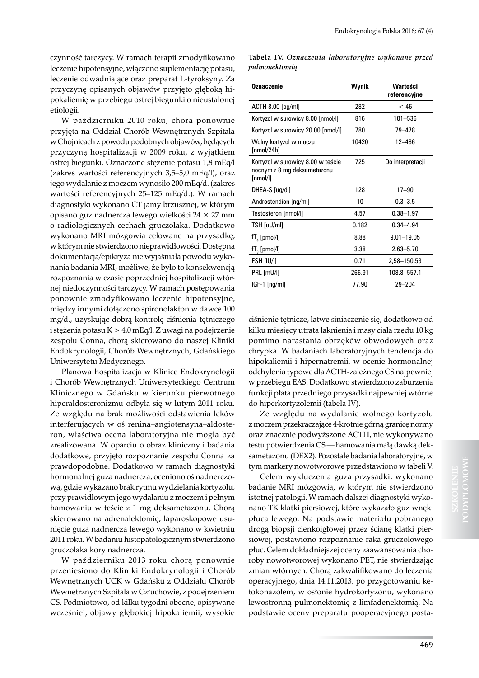czynność tarczycy. W ramach terapii zmodyfikowano leczenie hipotensyjne, włączono suplementację potasu, leczenie odwadniające oraz preparat L-tyroksyny. Za przyczynę opisanych objawów przyjęto głęboką hipokaliemię w przebiegu ostrej biegunki o nieustalonej etiologii.

W październiku 2010 roku, chora ponownie przyjęta na Oddział Chorób Wewnętrznych Szpitala w Chojnicach z powodu podobnych objawów, będących przyczyną hospitalizacji w 2009 roku, z wyjątkiem ostrej biegunki. Oznaczone stężenie potasu 1,8 mEq/l (zakres wartości referencyjnych 3,5–5,0 mEq/l), oraz jego wydalanie z moczem wynosiło 200 mEq/d. (zakres wartości referencyjnych 25–125 mEq/d.). W ramach diagnostyki wykonano CT jamy brzusznej, w którym opisano guz nadnercza lewego wielkości 24 × 27 mm o radiologicznych cechach gruczolaka. Dodatkowo wykonano MRI mózgowia celowane na przysadkę, w którym nie stwierdzono nieprawidłowości. Dostępna dokumentacja/epikryza nie wyjaśniała powodu wykonania badania MRI, możliwe, że było to konsekwencją rozpoznania w czasie poprzedniej hospitalizacji wtórnej niedoczynności tarczycy. W ramach postępowania ponownie zmodyfikowano leczenie hipotensyjne, między innymi dołączono spironolakton w dawce 100 mg/d., uzyskując dobrą kontrolę ciśnienia tętniczego i stężenia potasu K > 4,0 mEq/l. Z uwagi na podejrzenie zespołu Conna, chorą skierowano do naszej Kliniki Endokrynologii, Chorób Wewnętrznych, Gdańskiego Uniwersytetu Medycznego.

Planowa hospitalizacja w Klinice Endokrynologii i Chorób Wewnętrznych Uniwersyteckiego Centrum Klinicznego w Gdańsku w kierunku pierwotnego hiperaldosteronizmu odbyła się w lutym 2011 roku. Ze względu na brak możliwości odstawienia leków interferujących w oś renina–angiotensyna–aldosteron, właściwa ocena laboratoryjna nie mogła być zrealizowana. W oparciu o obraz kliniczny i badania dodatkowe, przyjęto rozpoznanie zespołu Conna za prawdopodobne. Dodatkowo w ramach diagnostyki hormonalnej guza nadnercza, oceniono oś nadnerczową, gdzie wykazano brak rytmu wydzielania kortyzolu, przy prawidłowym jego wydalaniu z moczem i pełnym hamowaniu w teście z 1 mg deksametazonu. Chorą skierowano na adrenalektomię, laparoskopowe usunięcie guza nadnercza lewego wykonano w kwietniu 2011 roku. W badaniu histopatologicznym stwierdzono gruczolaka kory nadnercza.

W październiku 2013 roku chorą ponownie przeniesiono do Kliniki Endokrynologii i Chorób Wewnętrznych UCK w Gdańsku z Oddziału Chorób Wewnętrznych Szpitala w Człuchowie, z podejrzeniem CS. Podmiotowo, od kilku tygodni obecne, opisywane wcześniej, objawy głębokiej hipokaliemii, wysokie **Tabela IV.** *Oznaczenia laboratoryjne wykonane przed pulmonektomią*

Endokrynologia Polska 2016; 67 (4)

| Oznaczenie                                                                   | Wynik  | Wartości<br>referencyjne |
|------------------------------------------------------------------------------|--------|--------------------------|
| $ACTH 8.00$ [pg/ml]                                                          | 282    | < 46                     |
| Kortyzol w surowicy 8.00 [nmol/l]                                            | 816    | 101-536                  |
| Kortyzol w surowicy 20.00 [nmol/l]                                           | 780    | 79-478                   |
| Wolny kortyzol w moczu<br>[nmol/24h]                                         | 10420  | $12 - 486$               |
| Kortyzol w surowicy 8.00 w teście<br>nocnym z 8 mg deksametazonu<br>[mmol/l] | 725    | Do interpretacji         |
| DHEA-S [ug/dl]                                                               | 128    | $17 - 90$                |
| Androstendion [ng/ml]                                                        | 10     | $0.3 - 3.5$              |
| Testosteron [nmol/l]                                                         | 4.57   | $0.38 - 1.97$            |
| TSH [uU/ml]                                                                  | 0.182  | $0.34 - 4.94$            |
| $\mathsf{f} \mathsf{T}_{\scriptscriptstyle{A}}$ [pmol/l]                     | 8.88   | $9.01 - 19.05$           |
| $fT_{3}$ [pmol/l]                                                            | 3.38   | $2.63 - 5.70$            |
| FSH [IU/I]                                                                   | 0.71   | 2,58-150,53              |
| PRL [mU/l]                                                                   | 266.91 | 108.8-557.1              |
| $IGF-1$ [ng/ml]                                                              | 77.90  | $29 - 204$               |

ciśnienie tętnicze, łatwe siniaczenie się, dodatkowo od kilku miesięcy utrata łaknienia i masy ciała rzędu 10 kg pomimo narastania obrzęków obwodowych oraz chrypka. W badaniach laboratoryjnych tendencja do hipokaliemii i hipernatremii, w ocenie hormonalnej odchylenia typowe dla ACTH-zależnego CS najpewniej w przebiegu EAS. Dodatkowo stwierdzono zaburzenia funkcji płata przedniego przysadki najpewniej wtórne do hiperkortyzolemii (tabela IV).

Ze względu na wydalanie wolnego kortyzolu z moczem przekraczające 4-krotnie górną granicę normy oraz znacznie podwyższone ACTH, nie wykonywano testu potwierdzenia CS — hamowania małą dawką deksametazonu (DEX2). Pozostałe badania laboratoryjne, w tym markery nowotworowe przedstawiono w tabeli V.

Celem wykluczenia guza przysadki, wykonano badanie MRI mózgowia, w którym nie stwierdzono istotnej patologii. W ramach dalszej diagnostyki wykonano TK klatki piersiowej, które wykazało guz wnęki płuca lewego. Na podstawie materiału pobranego drogą biopsji cienkoigłowej przez ścianę klatki piersiowej, postawiono rozpoznanie raka gruczołowego płuc. Celem dokładniejszej oceny zaawansowania choroby nowotworowej wykonano PET, nie stwierdzając zmian wtórnych. Chorą zakwalifikowano do leczenia operacyjnego, dnia 14.11.2013, po przygotowaniu ketokonazolem, w osłonie hydrokortyzonu, wykonano lewostronną pulmonektomię z limfadenektomią. Na podstawie oceny preparatu pooperacyjnego posta-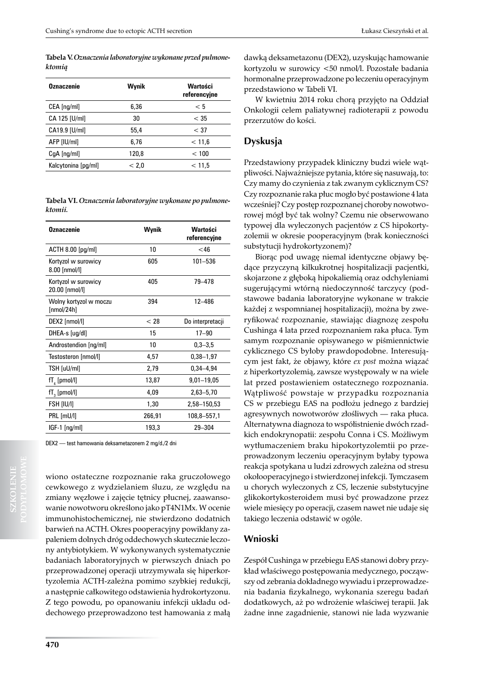| <b>Oznaczenie</b>   | Wynik | Wartości<br>referencyjne |
|---------------------|-------|--------------------------|
| CEA [ng/ml]         | 6.36  | < 5                      |
| CA 125 [U/ml]       | 30    | $<$ 35                   |
| CA19.9 [U/ml]       | 55,4  | $<$ 37                   |
| AFP [IU/ml]         | 6.76  | < 11.6                   |
| $CgA$ [ng/ml]       | 120,8 | < 100                    |
| Kalcytonina [pg/ml] | < 2.0 | < 11.5                   |

**Tabela VI.** *Oznaczenia laboratoryjne wykonane po pulmonektomii.* 

| <b>Oznaczenie</b>                     | Wynik  | Wartości<br>referencyjne |
|---------------------------------------|--------|--------------------------|
| $ACTH 8.00$ [pg/ml]                   | 10     | $<$ 46                   |
| Kortyzol w surowicy<br>8.00 [nmol/l]  | 605    | $101 - 536$              |
| Kortyzol w surowicy<br>20.00 [nmol/l] | 405    | 79-478                   |
| Wolny kortyzol w moczu<br>[nmol/24h]  | 394    | $12 - 486$               |
| DEX2 [nmol/l]                         | < 28   | Do interpretacji         |
| DHEA-s [ug/dl]                        | 15     | $17 - 90$                |
| Androstendion [ng/ml]                 | 10     | $0.3 - 3.5$              |
| Testosteron [nmol/l]                  | 4,57   | $0,38 - 1,97$            |
| TSH [uU/ml]                           | 2,79   | $0,34 - 4,94$            |
| $fT_{\text{A}}$ [pmol/l]              | 13,87  | $9.01 - 19.05$           |
| $fT_{\tiny{3}}$ [pmol/l]              | 4,09   | $2,63 - 5,70$            |
| FSH [IU/I]                            | 1,30   | 2,58-150,53              |
| PRL [mU/l]                            | 266,91 | 108,8-557,1              |
| $IGF-1$ [ng/ml]                       | 193,3  | 29-304                   |

DEX2 — test hamowania deksametazonem 2 mg/d./2 dni

wiono ostateczne rozpoznanie raka gruczołowego cewkowego z wydzielaniem śluzu, ze względu na zmiany węzłowe i zajęcie tętnicy płucnej, zaawansowanie nowotworu określono jako pT4N1Mx. W ocenie immunohistochemicznej, nie stwierdzono dodatnich barwień na ACTH. Okres pooperacyjny powikłany zapaleniem dolnych dróg oddechowych skutecznie leczony antybiotykiem. W wykonywanych systematycznie badaniach laboratoryjnych w pierwszych dniach po przeprowadzonej operacji utrzymywała się hiperkortyzolemia ACTH-zależna pomimo szybkiej redukcji, a następnie całkowitego odstawienia hydrokortyzonu. Z tego powodu, po opanowaniu infekcji układu oddechowego przeprowadzono test hamowania z małą

dawką deksametazonu (DEX2), uzyskując hamowanie kortyzolu w surowicy <50 nmol/l. Pozostałe badania hormonalne przeprowadzone po leczeniu operacyjnym przedstawiono w Tabeli VI.

W kwietniu 2014 roku chorą przyjęto na Oddział Onkologii celem paliatywnej radioterapii z powodu przerzutów do kości.

## **Dyskusja**

Przedstawiony przypadek kliniczny budzi wiele wątpliwości. Najważniejsze pytania, które się nasuwają, to: Czy mamy do czynienia z tak zwanym cyklicznym CS? Czy rozpoznanie raka płuc mogło być postawione 4 lata wcześniej? Czy postęp rozpoznanej choroby nowotworowej mógł być tak wolny? Czemu nie obserwowano typowej dla wyleczonych pacjentów z CS hipokortyzolemii w okresie pooperacyjnym (brak konieczności substytucji hydrokortyzonem)?

Biorąc pod uwagę niemal identyczne objawy będące przyczyną kilkukrotnej hospitalizacji pacjentki, skojarzone z głęboką hipokaliemią oraz odchyleniami sugerującymi wtórną niedoczynność tarczycy (podstawowe badania laboratoryjne wykonane w trakcie każdej z wspomnianej hospitalizacji), można by zweryfikować rozpoznanie, stawiając diagnozę zespołu Cushinga 4 lata przed rozpoznaniem raka płuca. Tym samym rozpoznanie opisywanego w piśmiennictwie cyklicznego CS byłoby prawdopodobne. Interesującym jest fakt, że objawy, które *ex post* można wiązać z hiperkortyzolemią, zawsze występowały w na wiele lat przed postawieniem ostatecznego rozpoznania. Wątpliwość powstaje w przypadku rozpoznania CS w przebiegu EAS na podłożu jednego z bardziej agresywnych nowotworów złośliwych — raka płuca. Alternatywna diagnoza to współistnienie dwóch rzadkich endokrynopatii: zespołu Conna i CS. Możliwym wytłumaczeniem braku hipokortyzolemtii po przeprowadzonym leczeniu operacyjnym byłaby typowa reakcja spotykana u ludzi zdrowych zależna od stresu okołooperacyjnego i stwierdzonej infekcji. Tymczasem u chorych wyleczonych z CS, leczenie substytucyjne glikokortykosteroidem musi być prowadzone przez wiele miesięcy po operacji, czasem nawet nie udaje się takiego leczenia odstawić w ogóle.

### **Wnioski**

Zespół Cushinga w przebiegu EAS stanowi dobry przykład właściwego postępowania medycznego, począwszy od zebrania dokładnego wywiadu i przeprowadzenia badania fizykalnego, wykonania szeregu badań dodatkowych, aż po wdrożenie właściwej terapii. Jak żadne inne zagadnienie, stanowi nie lada wyzwanie